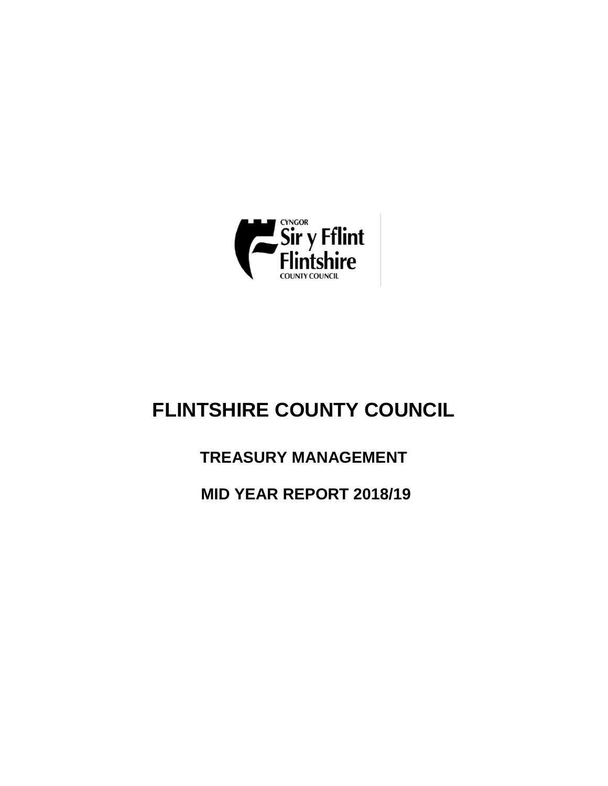

# **FLINTSHIRE COUNTY COUNCIL**

# **TREASURY MANAGEMENT**

**MID YEAR REPORT 2018/19**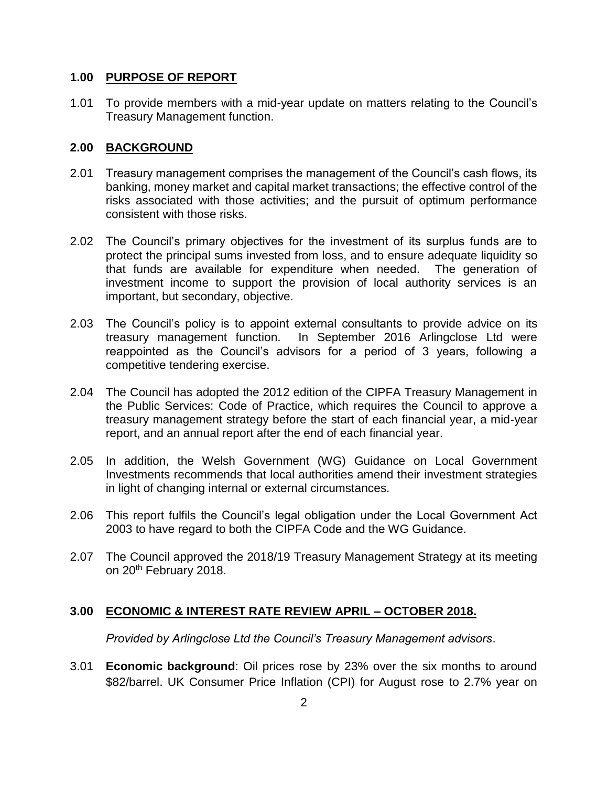# **1.00 PURPOSE OF REPORT**

1.01 To provide members with a mid-year update on matters relating to the Council's Treasury Management function.

# **2.00 BACKGROUND**

- 2.01 Treasury management comprises the management of the Council's cash flows, its banking, money market and capital market transactions; the effective control of the risks associated with those activities; and the pursuit of optimum performance consistent with those risks.
- 2.02 The Council's primary objectives for the investment of its surplus funds are to protect the principal sums invested from loss, and to ensure adequate liquidity so that funds are available for expenditure when needed. The generation of investment income to support the provision of local authority services is an important, but secondary, objective.
- 2.03 The Council's policy is to appoint external consultants to provide advice on its treasury management function. In September 2016 Arlingclose Ltd were reappointed as the Council's advisors for a period of 3 years, following a competitive tendering exercise.
- 2.04 The Council has adopted the 2012 edition of the CIPFA Treasury Management in the Public Services: Code of Practice, which requires the Council to approve a treasury management strategy before the start of each financial year, a mid-year report, and an annual report after the end of each financial year.
- 2.05 In addition, the Welsh Government (WG) Guidance on Local Government Investments recommends that local authorities amend their investment strategies in light of changing internal or external circumstances.
- 2.06 This report fulfils the Council's legal obligation under the Local Government Act 2003 to have regard to both the CIPFA Code and the WG Guidance.
- 2.07 The Council approved the 2018/19 Treasury Management Strategy at its meeting on 20<sup>th</sup> February 2018.

# **3.00 ECONOMIC & INTEREST RATE REVIEW APRIL – OCTOBER 2018.**

*Provided by Arlingclose Ltd the Council's Treasury Management advisors*.

3.01 **Economic background**: Oil prices rose by 23% over the six months to around \$82/barrel. UK Consumer Price Inflation (CPI) for August rose to 2.7% year on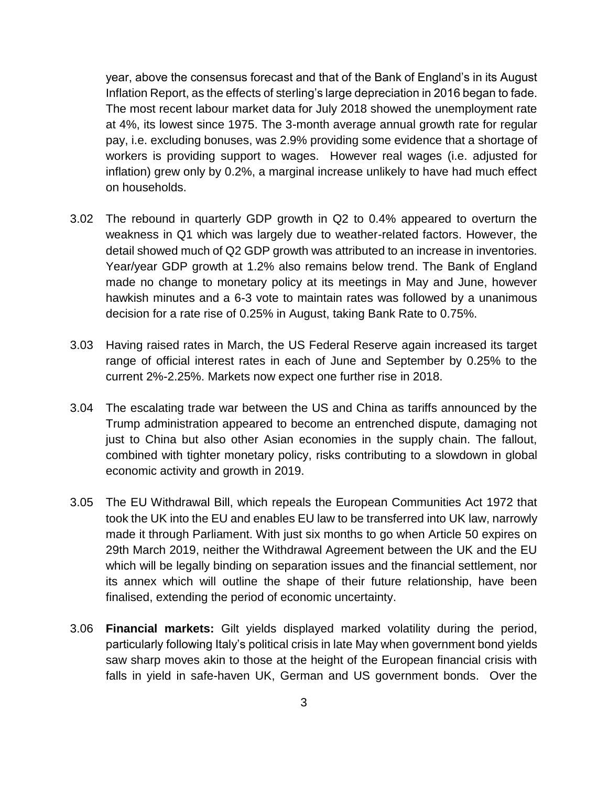year, above the consensus forecast and that of the Bank of England's in its August Inflation Report, as the effects of sterling's large depreciation in 2016 began to fade. The most recent labour market data for July 2018 showed the unemployment rate at 4%, its lowest since 1975. The 3-month average annual growth rate for regular pay, i.e. excluding bonuses, was 2.9% providing some evidence that a shortage of workers is providing support to wages. However real wages (i.e. adjusted for inflation) grew only by 0.2%, a marginal increase unlikely to have had much effect on households.

- 3.02 The rebound in quarterly GDP growth in Q2 to 0.4% appeared to overturn the weakness in Q1 which was largely due to weather-related factors. However, the detail showed much of Q2 GDP growth was attributed to an increase in inventories. Year/year GDP growth at 1.2% also remains below trend. The Bank of England made no change to monetary policy at its meetings in May and June, however hawkish minutes and a 6-3 vote to maintain rates was followed by a unanimous decision for a rate rise of 0.25% in August, taking Bank Rate to 0.75%.
- 3.03 Having raised rates in March, the US Federal Reserve again increased its target range of official interest rates in each of June and September by 0.25% to the current 2%-2.25%. Markets now expect one further rise in 2018.
- 3.04 The escalating trade war between the US and China as tariffs announced by the Trump administration appeared to become an entrenched dispute, damaging not just to China but also other Asian economies in the supply chain. The fallout, combined with tighter monetary policy, risks contributing to a slowdown in global economic activity and growth in 2019.
- 3.05 The EU Withdrawal Bill, which repeals the European Communities Act 1972 that took the UK into the EU and enables EU law to be transferred into UK law, narrowly made it through Parliament. With just six months to go when Article 50 expires on 29th March 2019, neither the Withdrawal Agreement between the UK and the EU which will be legally binding on separation issues and the financial settlement, nor its annex which will outline the shape of their future relationship, have been finalised, extending the period of economic uncertainty.
- 3.06 **Financial markets:** Gilt yields displayed marked volatility during the period, particularly following Italy's political crisis in late May when government bond yields saw sharp moves akin to those at the height of the European financial crisis with falls in yield in safe-haven UK, German and US government bonds. Over the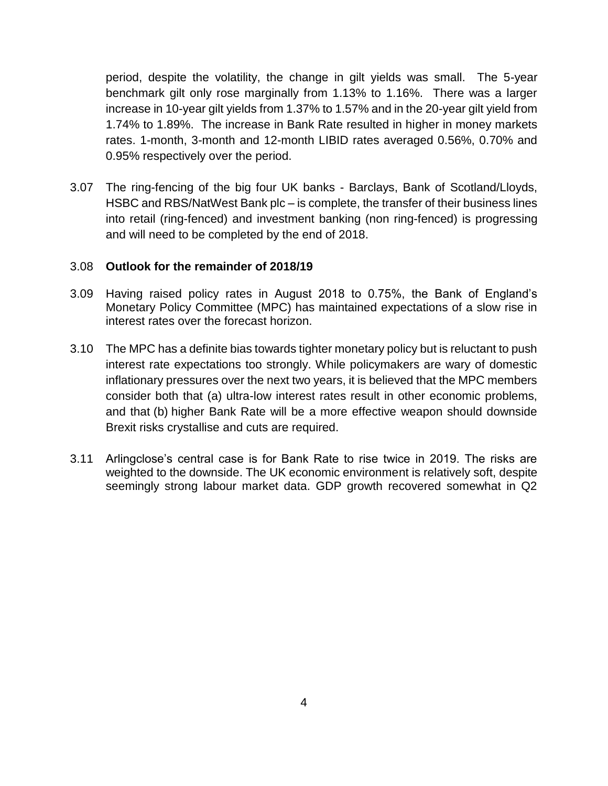period, despite the volatility, the change in gilt yields was small. The 5-year benchmark gilt only rose marginally from 1.13% to 1.16%. There was a larger increase in 10-year gilt yields from 1.37% to 1.57% and in the 20-year gilt yield from 1.74% to 1.89%. The increase in Bank Rate resulted in higher in money markets rates. 1-month, 3-month and 12-month LIBID rates averaged 0.56%, 0.70% and 0.95% respectively over the period.

3.07 The ring-fencing of the big four UK banks - Barclays, Bank of Scotland/Lloyds, HSBC and RBS/NatWest Bank plc – is complete, the transfer of their business lines into retail (ring-fenced) and investment banking (non ring-fenced) is progressing and will need to be completed by the end of 2018.

# 3.08 **Outlook for the remainder of 2018/19**

- 3.09 Having raised policy rates in August 2018 to 0.75%, the Bank of England's Monetary Policy Committee (MPC) has maintained expectations of a slow rise in interest rates over the forecast horizon.
- 3.10 The MPC has a definite bias towards tighter monetary policy but is reluctant to push interest rate expectations too strongly. While policymakers are wary of domestic inflationary pressures over the next two years, it is believed that the MPC members consider both that (a) ultra-low interest rates result in other economic problems, and that (b) higher Bank Rate will be a more effective weapon should downside Brexit risks crystallise and cuts are required.
- 3.11 Arlingclose's central case is for Bank Rate to rise twice in 2019. The risks are weighted to the downside. The UK economic environment is relatively soft, despite seemingly strong labour market data. GDP growth recovered somewhat in Q2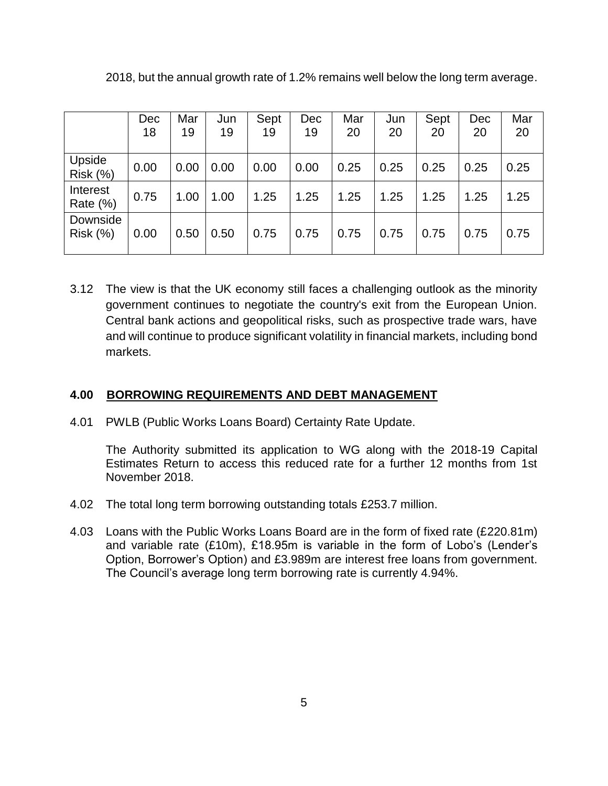|                           | Dec<br>18 | Mar<br>19 | Jun<br>19 | Sept<br>19 | Dec<br>19 | Mar<br>20 | Jun<br>20 | Sept<br>20 | Dec<br>20 | Mar<br>20 |
|---------------------------|-----------|-----------|-----------|------------|-----------|-----------|-----------|------------|-----------|-----------|
| Upside<br><b>Risk (%)</b> | 0.00      | 0.00      | 0.00      | 0.00       | 0.00      | 0.25      | 0.25      | 0.25       | 0.25      | 0.25      |
| Interest<br>Rate (%)      | 0.75      | 1.00      | 1.00      | 1.25       | 1.25      | 1.25      | 1.25      | 1.25       | 1.25      | 1.25      |
| Downside<br>Risk(%)       | 0.00      | 0.50      | 0.50      | 0.75       | 0.75      | 0.75      | 0.75      | 0.75       | 0.75      | 0.75      |

2018, but the annual growth rate of 1.2% remains well below the long term average.

3.12 The view is that the UK economy still faces a challenging outlook as the minority government continues to negotiate the country's exit from the European Union. Central bank actions and geopolitical risks, such as prospective trade wars, have and will continue to produce significant volatility in financial markets, including bond markets.

# **4.00 BORROWING REQUIREMENTS AND DEBT MANAGEMENT**

4.01 PWLB (Public Works Loans Board) Certainty Rate Update.

The Authority submitted its application to WG along with the 2018-19 Capital Estimates Return to access this reduced rate for a further 12 months from 1st November 2018.

- 4.02 The total long term borrowing outstanding totals £253.7 million.
- 4.03 Loans with the Public Works Loans Board are in the form of fixed rate (£220.81m) and variable rate (£10m), £18.95m is variable in the form of Lobo's (Lender's Option, Borrower's Option) and £3.989m are interest free loans from government. The Council's average long term borrowing rate is currently 4.94%.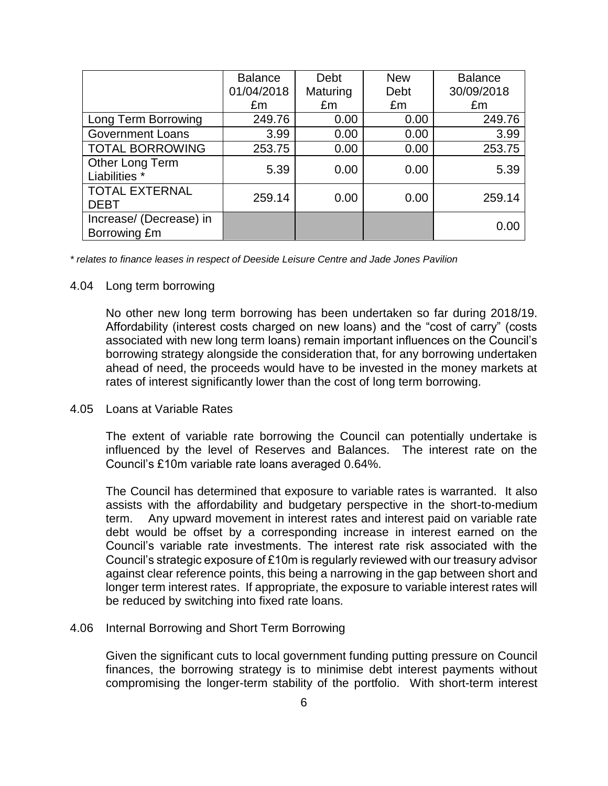|                                         | <b>Balance</b> | Debt     | <b>New</b> | <b>Balance</b> |
|-----------------------------------------|----------------|----------|------------|----------------|
|                                         | 01/04/2018     | Maturing | Debt       | 30/09/2018     |
|                                         | £m             | £m       | £m         | £m             |
| Long Term Borrowing                     | 249.76         | 0.00     | 0.00       | 249.76         |
| <b>Government Loans</b>                 | 3.99           | 0.00     | 0.00       | 3.99           |
| <b>TOTAL BORROWING</b>                  | 253.75         | 0.00     | 0.00       | 253.75         |
| Other Long Term<br>Liabilities *        | 5.39           | 0.00     | 0.00       | 5.39           |
| <b>TOTAL EXTERNAL</b><br><b>DEBT</b>    | 259.14         | 0.00     | 0.00       | 259.14         |
| Increase/ (Decrease) in<br>Borrowing £m |                |          |            | 0.00           |

*\* relates to finance leases in respect of Deeside Leisure Centre and Jade Jones Pavilion* 

#### 4.04 Long term borrowing

No other new long term borrowing has been undertaken so far during 2018/19. Affordability (interest costs charged on new loans) and the "cost of carry" (costs associated with new long term loans) remain important influences on the Council's borrowing strategy alongside the consideration that, for any borrowing undertaken ahead of need, the proceeds would have to be invested in the money markets at rates of interest significantly lower than the cost of long term borrowing.

#### 4.05 Loans at Variable Rates

The extent of variable rate borrowing the Council can potentially undertake is influenced by the level of Reserves and Balances. The interest rate on the Council's £10m variable rate loans averaged 0.64%.

The Council has determined that exposure to variable rates is warranted. It also assists with the affordability and budgetary perspective in the short-to-medium term. Any upward movement in interest rates and interest paid on variable rate debt would be offset by a corresponding increase in interest earned on the Council's variable rate investments. The interest rate risk associated with the Council's strategic exposure of £10m is regularly reviewed with our treasury advisor against clear reference points, this being a narrowing in the gap between short and longer term interest rates. If appropriate, the exposure to variable interest rates will be reduced by switching into fixed rate loans.

#### 4.06 Internal Borrowing and Short Term Borrowing

Given the significant cuts to local government funding putting pressure on Council finances, the borrowing strategy is to minimise debt interest payments without compromising the longer-term stability of the portfolio. With short-term interest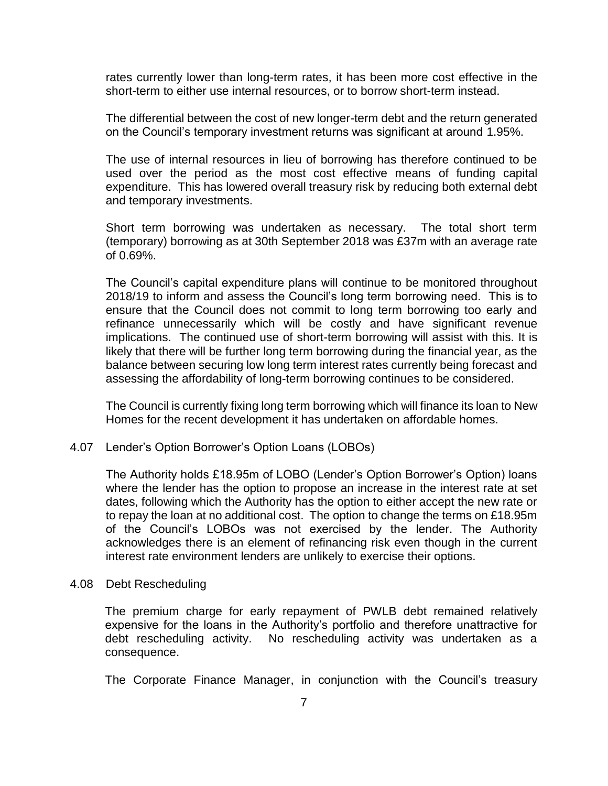rates currently lower than long-term rates, it has been more cost effective in the short-term to either use internal resources, or to borrow short-term instead.

The differential between the cost of new longer-term debt and the return generated on the Council's temporary investment returns was significant at around 1.95%.

The use of internal resources in lieu of borrowing has therefore continued to be used over the period as the most cost effective means of funding capital expenditure. This has lowered overall treasury risk by reducing both external debt and temporary investments.

Short term borrowing was undertaken as necessary. The total short term (temporary) borrowing as at 30th September 2018 was £37m with an average rate of 0.69%.

The Council's capital expenditure plans will continue to be monitored throughout 2018/19 to inform and assess the Council's long term borrowing need. This is to ensure that the Council does not commit to long term borrowing too early and refinance unnecessarily which will be costly and have significant revenue implications. The continued use of short-term borrowing will assist with this. It is likely that there will be further long term borrowing during the financial year, as the balance between securing low long term interest rates currently being forecast and assessing the affordability of long-term borrowing continues to be considered.

The Council is currently fixing long term borrowing which will finance its loan to New Homes for the recent development it has undertaken on affordable homes.

# 4.07 Lender's Option Borrower's Option Loans (LOBOs)

The Authority holds £18.95m of LOBO (Lender's Option Borrower's Option) loans where the lender has the option to propose an increase in the interest rate at set dates, following which the Authority has the option to either accept the new rate or to repay the loan at no additional cost. The option to change the terms on £18.95m of the Council's LOBOs was not exercised by the lender. The Authority acknowledges there is an element of refinancing risk even though in the current interest rate environment lenders are unlikely to exercise their options.

#### 4.08 Debt Rescheduling

The premium charge for early repayment of PWLB debt remained relatively expensive for the loans in the Authority's portfolio and therefore unattractive for debt rescheduling activity. No rescheduling activity was undertaken as a consequence.

The Corporate Finance Manager, in conjunction with the Council's treasury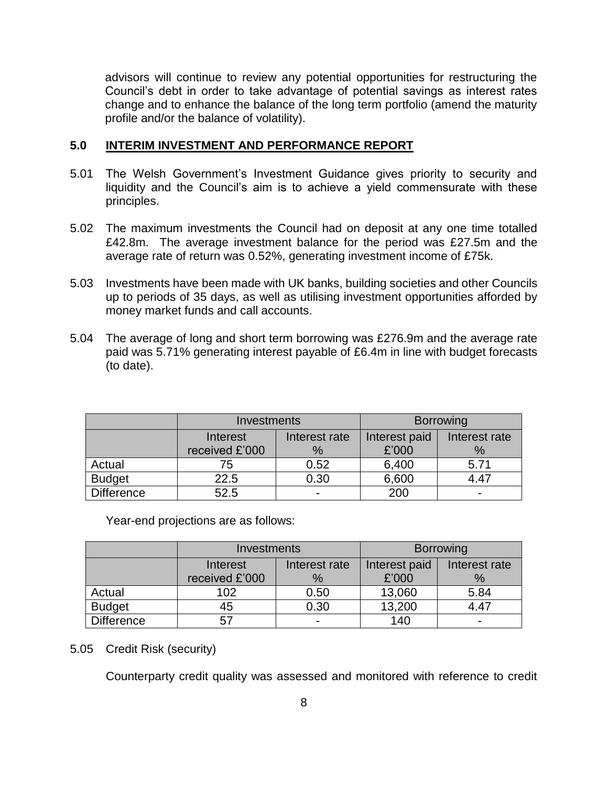advisors will continue to review any potential opportunities for restructuring the Council's debt in order to take advantage of potential savings as interest rates change and to enhance the balance of the long term portfolio (amend the maturity profile and/or the balance of volatility).

# **5.0 INTERIM INVESTMENT AND PERFORMANCE REPORT**

- 5.01 The Welsh Government's Investment Guidance gives priority to security and liquidity and the Council's aim is to achieve a yield commensurate with these principles.
- 5.02 The maximum investments the Council had on deposit at any one time totalled £42.8m. The average investment balance for the period was £27.5m and the average rate of return was 0.52%, generating investment income of £75k.
- 5.03 Investments have been made with UK banks, building societies and other Councils up to periods of 35 days, as well as utilising investment opportunities afforded by money market funds and call accounts.
- 5.04 The average of long and short term borrowing was £276.9m and the average rate paid was 5.71% generating interest payable of £6.4m in line with budget forecasts (to date).

|                   | <b>Investments</b> |               | <b>Borrowing</b> |               |  |
|-------------------|--------------------|---------------|------------------|---------------|--|
|                   | Interest           | Interest rate | Interest paid    | Interest rate |  |
|                   | received £'000     | %             | £'000            | $\%$          |  |
| Actual            | 75                 | 0.52          | 6,400            | 5.71          |  |
| <b>Budget</b>     | 22.5               | 0.30          | 6,600            | 4.47          |  |
| <b>Difference</b> | 52.5               |               | 200              | -             |  |

Year-end projections are as follows:

|                   | Investments      |                          | <b>Borrowing</b> |               |  |
|-------------------|------------------|--------------------------|------------------|---------------|--|
|                   | Interest         | Interest rate            | Interest paid    | Interest rate |  |
|                   | received £'000   | %                        | £'000            | $\%$          |  |
| Actual            | 102 <sub>2</sub> | 0.50                     | 13,060           | 5.84          |  |
| <b>Budget</b>     | 45               | 0.30                     | 13,200           | 4.47          |  |
| <b>Difference</b> | 57               | $\overline{\phantom{a}}$ | 140              | -             |  |

# 5.05 Credit Risk (security)

Counterparty credit quality was assessed and monitored with reference to credit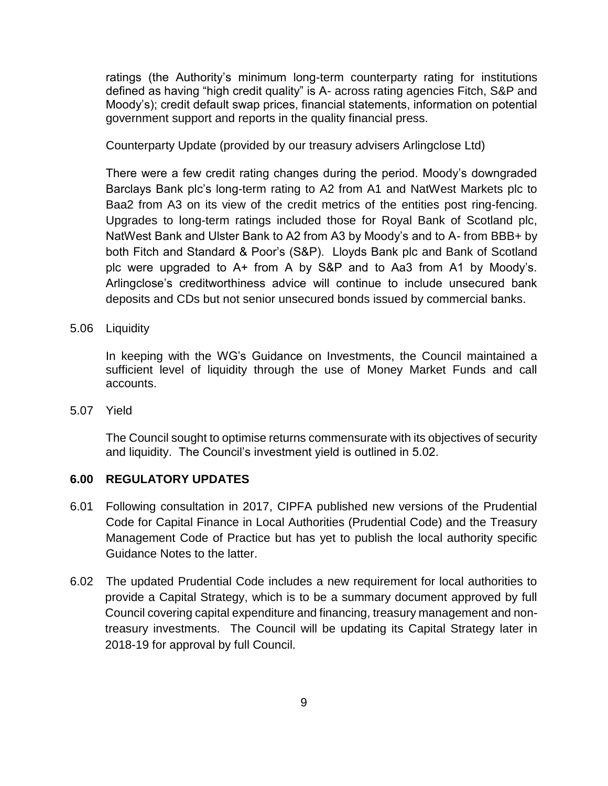ratings (the Authority's minimum long-term counterparty rating for institutions defined as having "high credit quality" is A- across rating agencies Fitch, S&P and Moody's); credit default swap prices, financial statements, information on potential government support and reports in the quality financial press.

Counterparty Update (provided by our treasury advisers Arlingclose Ltd)

There were a few credit rating changes during the period. Moody's downgraded Barclays Bank plc's long-term rating to A2 from A1 and NatWest Markets plc to Baa2 from A3 on its view of the credit metrics of the entities post ring-fencing. Upgrades to long-term ratings included those for Royal Bank of Scotland plc, NatWest Bank and Ulster Bank to A2 from A3 by Moody's and to A- from BBB+ by both Fitch and Standard & Poor's (S&P). Lloyds Bank plc and Bank of Scotland plc were upgraded to A+ from A by S&P and to Aa3 from A1 by Moody's. Arlingclose's creditworthiness advice will continue to include unsecured bank deposits and CDs but not senior unsecured bonds issued by commercial banks.

5.06 Liquidity

In keeping with the WG's Guidance on Investments, the Council maintained a sufficient level of liquidity through the use of Money Market Funds and call accounts.

5.07 Yield

The Council sought to optimise returns commensurate with its objectives of security and liquidity. The Council's investment yield is outlined in 5.02.

# **6.00 REGULATORY UPDATES**

- 6.01 Following consultation in 2017, CIPFA published new versions of the Prudential Code for Capital Finance in Local Authorities (Prudential Code) and the Treasury Management Code of Practice but has yet to publish the local authority specific Guidance Notes to the latter.
- 6.02 The updated Prudential Code includes a new requirement for local authorities to provide a Capital Strategy, which is to be a summary document approved by full Council covering capital expenditure and financing, treasury management and nontreasury investments. The Council will be updating its Capital Strategy later in 2018-19 for approval by full Council.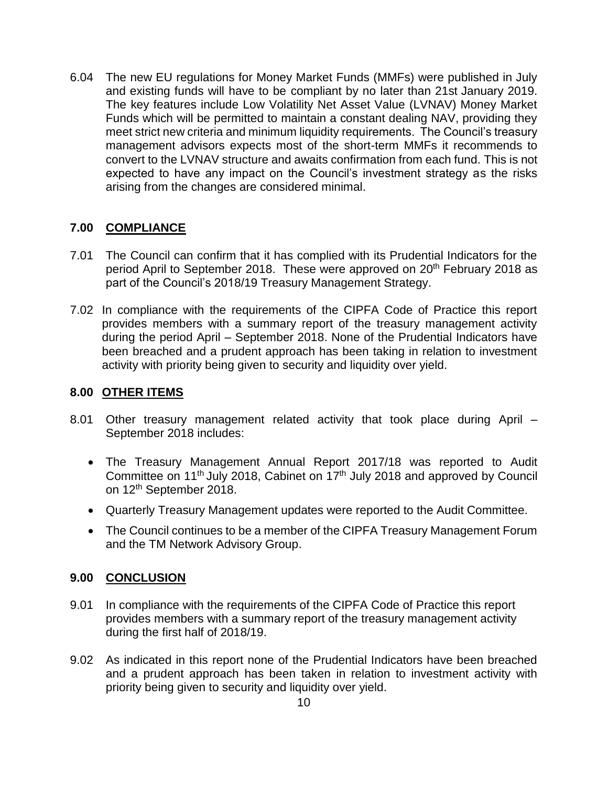6.04 The new EU regulations for Money Market Funds (MMFs) were published in July and existing funds will have to be compliant by no later than 21st January 2019. The key features include Low Volatility Net Asset Value (LVNAV) Money Market Funds which will be permitted to maintain a constant dealing NAV, providing they meet strict new criteria and minimum liquidity requirements. The Council's treasury management advisors expects most of the short-term MMFs it recommends to convert to the LVNAV structure and awaits confirmation from each fund. This is not expected to have any impact on the Council's investment strategy as the risks arising from the changes are considered minimal.

# **7.00 COMPLIANCE**

- 7.01 The Council can confirm that it has complied with its Prudential Indicators for the period April to September 2018. These were approved on 20<sup>th</sup> February 2018 as part of the Council's 2018/19 Treasury Management Strategy.
- 7.02 In compliance with the requirements of the CIPFA Code of Practice this report provides members with a summary report of the treasury management activity during the period April – September 2018. None of the Prudential Indicators have been breached and a prudent approach has been taking in relation to investment activity with priority being given to security and liquidity over yield.

# **8.00 OTHER ITEMS**

- 8.01 Other treasury management related activity that took place during April September 2018 includes:
	- The Treasury Management Annual Report 2017/18 was reported to Audit Committee on 11<sup>th</sup> July 2018, Cabinet on 17<sup>th</sup> July 2018 and approved by Council on 12th September 2018.
	- Quarterly Treasury Management updates were reported to the Audit Committee.
	- The Council continues to be a member of the CIPFA Treasury Management Forum and the TM Network Advisory Group.

# **9.00 CONCLUSION**

- 9.01 In compliance with the requirements of the CIPFA Code of Practice this report provides members with a summary report of the treasury management activity during the first half of 2018/19.
- 9.02 As indicated in this report none of the Prudential Indicators have been breached and a prudent approach has been taken in relation to investment activity with priority being given to security and liquidity over yield.